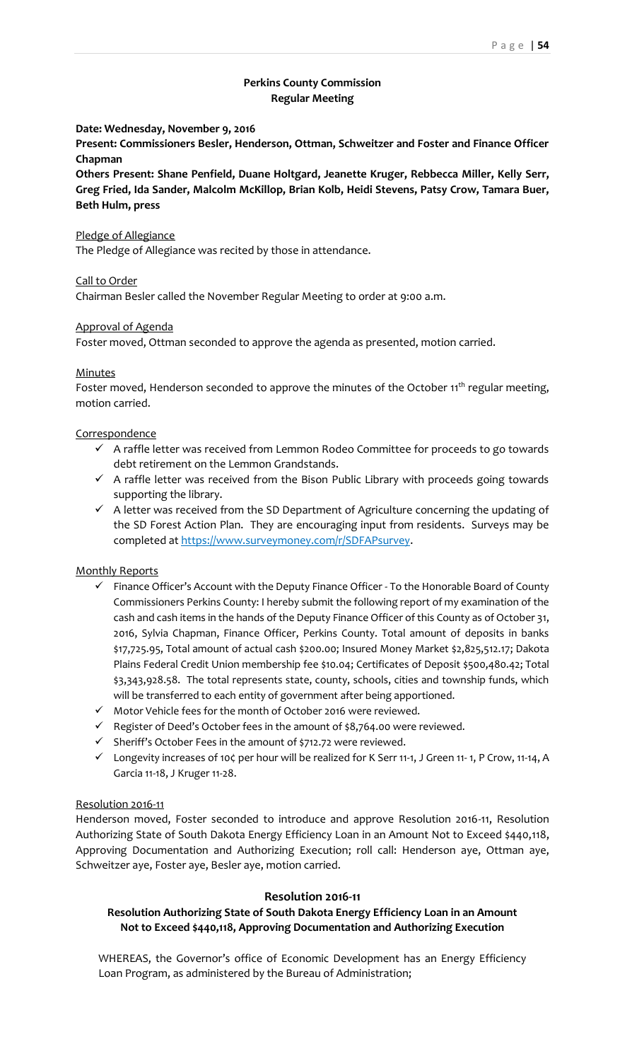## **Perkins County Commission Regular Meeting**

**Date: Wednesday, November 9, 2016**

**Present: Commissioners Besler, Henderson, Ottman, Schweitzer and Foster and Finance Officer Chapman**

**Others Present: Shane Penfield, Duane Holtgard, Jeanette Kruger, Rebbecca Miller, Kelly Serr, Greg Fried, Ida Sander, Malcolm McKillop, Brian Kolb, Heidi Stevens, Patsy Crow, Tamara Buer, Beth Hulm, press**

#### Pledge of Allegiance

The Pledge of Allegiance was recited by those in attendance.

#### Call to Order

Chairman Besler called the November Regular Meeting to order at 9:00 a.m.

#### Approval of Agenda

Foster moved, Ottman seconded to approve the agenda as presented, motion carried.

#### Minutes

Foster moved, Henderson seconded to approve the minutes of the October 11<sup>th</sup> regular meeting, motion carried.

#### **Correspondence**

- $\checkmark$  A raffle letter was received from Lemmon Rodeo Committee for proceeds to go towards debt retirement on the Lemmon Grandstands.
- $\checkmark$  A raffle letter was received from the Bison Public Library with proceeds going towards supporting the library.
- $\checkmark$  A letter was received from the SD Department of Agriculture concerning the updating of the SD Forest Action Plan. They are encouraging input from residents. Surveys may be completed at https://www.surveymoney.com/r/SDFAPsurvey.

#### Monthly Reports

- $\checkmark$  Finance Officer's Account with the Deputy Finance Officer To the Honorable Board of County Commissioners Perkins County: I hereby submit the following report of my examination of the cash and cash items in the hands of the Deputy Finance Officer of this County as of October 31, 2016, Sylvia Chapman, Finance Officer, Perkins County. Total amount of deposits in banks \$17,725.95, Total amount of actual cash \$200.00; Insured Money Market \$2,825,512.17; Dakota Plains Federal Credit Union membership fee \$10.04; Certificates of Deposit \$500,480.42; Total \$3,343,928.58. The total represents state, county, schools, cities and township funds, which will be transferred to each entity of government after being apportioned.
- $\checkmark$  Motor Vehicle fees for the month of October 2016 were reviewed.
- $\checkmark$  Register of Deed's October fees in the amount of \$8,764.00 were reviewed.
- $\checkmark$  Sheriff's October Fees in the amount of \$712.72 were reviewed.
- $\checkmark$  Longevity increases of 10¢ per hour will be realized for K Serr 11-1, J Green 11-1, P Crow, 11-14, A Garcia 11-18, J Kruger 11-28.

#### Resolution 2016-11

Henderson moved, Foster seconded to introduce and approve Resolution 2016-11, Resolution Authorizing State of South Dakota Energy Efficiency Loan in an Amount Not to Exceed \$440,118, Approving Documentation and Authorizing Execution; roll call: Henderson aye, Ottman aye, Schweitzer aye, Foster aye, Besler aye, motion carried.

#### **Resolution 2016-11**

## **Resolution Authorizing State of South Dakota Energy Efficiency Loan in an Amount Not to Exceed \$440,118, Approving Documentation and Authorizing Execution**

WHEREAS, the Governor's office of Economic Development has an Energy Efficiency Loan Program, as administered by the Bureau of Administration;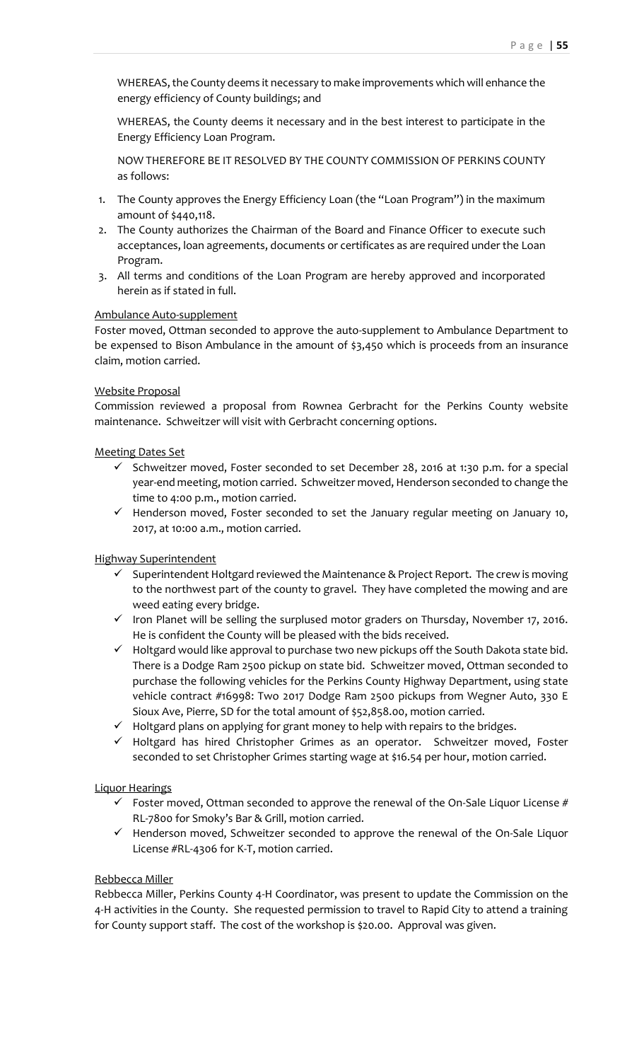WHEREAS, the County deems it necessary to make improvements which will enhance the energy efficiency of County buildings; and

WHEREAS, the County deems it necessary and in the best interest to participate in the Energy Efficiency Loan Program.

NOW THEREFORE BE IT RESOLVED BY THE COUNTY COMMISSION OF PERKINS COUNTY as follows:

- 1. The County approves the Energy Efficiency Loan (the "Loan Program") in the maximum amount of \$440,118.
- 2. The County authorizes the Chairman of the Board and Finance Officer to execute such acceptances, loan agreements, documents or certificates as are required under the Loan Program.
- 3. All terms and conditions of the Loan Program are hereby approved and incorporated herein as if stated in full.

# Ambulance Auto-supplement

Foster moved, Ottman seconded to approve the auto-supplement to Ambulance Department to be expensed to Bison Ambulance in the amount of \$3,450 which is proceeds from an insurance claim, motion carried.

## Website Proposal

Commission reviewed a proposal from Rownea Gerbracht for the Perkins County website maintenance. Schweitzer will visit with Gerbracht concerning options.

## Meeting Dates Set

- $\checkmark$  Schweitzer moved, Foster seconded to set December 28, 2016 at 1:30 p.m. for a special year-end meeting, motion carried. Schweitzer moved, Henderson seconded to change the time to 4:00 p.m., motion carried.
- $\checkmark$  Henderson moved, Foster seconded to set the January regular meeting on January 10, 2017, at 10:00 a.m., motion carried.

# Highway Superintendent

- $\checkmark$  Superintendent Holtgard reviewed the Maintenance & Project Report. The crew is moving to the northwest part of the county to gravel. They have completed the mowing and are weed eating every bridge.
- $\checkmark$  Iron Planet will be selling the surplused motor graders on Thursday, November 17, 2016. He is confident the County will be pleased with the bids received.
- $\checkmark$  Holtgard would like approval to purchase two new pickups off the South Dakota state bid. There is a Dodge Ram 2500 pickup on state bid. Schweitzer moved, Ottman seconded to purchase the following vehicles for the Perkins County Highway Department, using state vehicle contract #16998: Two 2017 Dodge Ram 2500 pickups from Wegner Auto, 330 E Sioux Ave, Pierre, SD for the total amount of \$52,858.00, motion carried.
- $\checkmark$  Holtgard plans on applying for grant money to help with repairs to the bridges.
- $\checkmark$  Holtgard has hired Christopher Grimes as an operator. Schweitzer moved, Foster seconded to set Christopher Grimes starting wage at \$16.54 per hour, motion carried.

# Liquor Hearings

- $\checkmark$  Foster moved, Ottman seconded to approve the renewal of the On-Sale Liquor License # RL-7800 for Smoky's Bar & Grill, motion carried.
- $\checkmark$  Henderson moved, Schweitzer seconded to approve the renewal of the On-Sale Liquor License #RL-4306 for K-T, motion carried.

#### Rebbecca Miller

Rebbecca Miller, Perkins County 4-H Coordinator, was present to update the Commission on the 4-H activities in the County. She requested permission to travel to Rapid City to attend a training for County support staff. The cost of the workshop is \$20.00. Approval was given.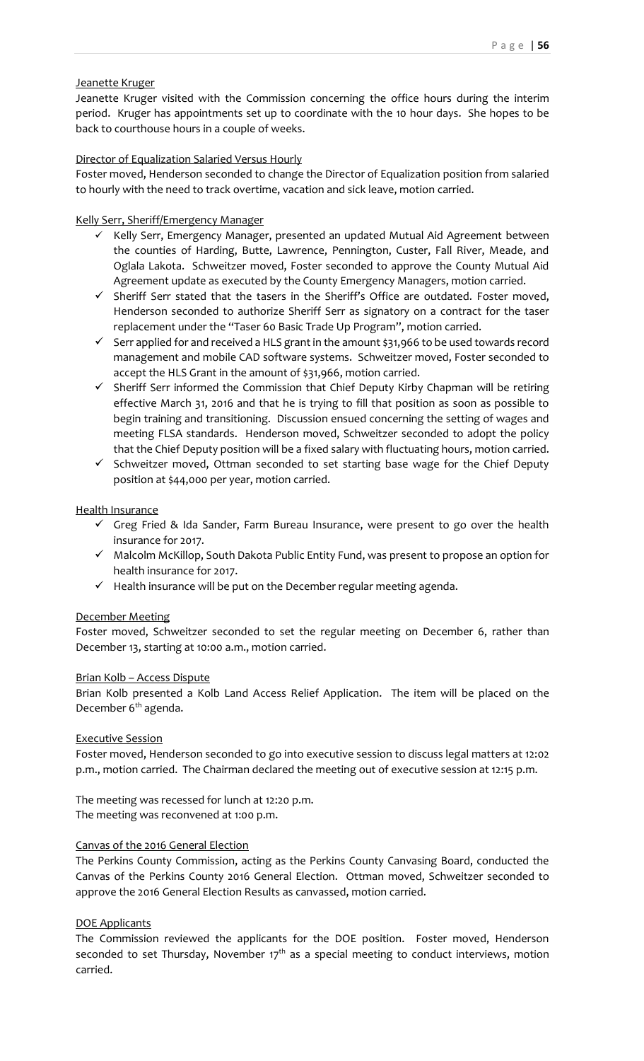## Jeanette Kruger

Jeanette Kruger visited with the Commission concerning the office hours during the interim period. Kruger has appointments set up to coordinate with the 10 hour days. She hopes to be back to courthouse hours in a couple of weeks.

## Director of Equalization Salaried Versus Hourly

Foster moved, Henderson seconded to change the Director of Equalization position from salaried to hourly with the need to track overtime, vacation and sick leave, motion carried.

## Kelly Serr, Sheriff/Emergency Manager

- $\checkmark$  Kelly Serr, Emergency Manager, presented an updated Mutual Aid Agreement between the counties of Harding, Butte, Lawrence, Pennington, Custer, Fall River, Meade, and Oglala Lakota. Schweitzer moved, Foster seconded to approve the County Mutual Aid Agreement update as executed by the County Emergency Managers, motion carried.
- $\checkmark$  Sheriff Serr stated that the tasers in the Sheriff's Office are outdated. Foster moved, Henderson seconded to authorize Sheriff Serr as signatory on a contract for the taser replacement under the "Taser 60 Basic Trade Up Program", motion carried.
- $\checkmark$  Serr applied for and received a HLS grant in the amount \$31,966 to be used towards record management and mobile CAD software systems. Schweitzer moved, Foster seconded to accept the HLS Grant in the amount of \$31,966, motion carried.
- $\checkmark$  Sheriff Serr informed the Commission that Chief Deputy Kirby Chapman will be retiring effective March 31, 2016 and that he is trying to fill that position as soon as possible to begin training and transitioning. Discussion ensued concerning the setting of wages and meeting FLSA standards. Henderson moved, Schweitzer seconded to adopt the policy that the Chief Deputy position will be a fixed salary with fluctuating hours, motion carried.
- $\checkmark$  Schweitzer moved, Ottman seconded to set starting base wage for the Chief Deputy position at \$44,000 per year, motion carried.

## Health Insurance

- $\checkmark$  Greg Fried & Ida Sander, Farm Bureau Insurance, were present to go over the health insurance for 2017.
- $\checkmark$  Malcolm McKillop, South Dakota Public Entity Fund, was present to propose an option for health insurance for 2017.
- $\checkmark$  Health insurance will be put on the December regular meeting agenda.

# December Meeting

Foster moved, Schweitzer seconded to set the regular meeting on December 6, rather than December 13, starting at 10:00 a.m., motion carried.

# Brian Kolb – Access Dispute

Brian Kolb presented a Kolb Land Access Relief Application. The item will be placed on the December 6<sup>th</sup> agenda.

# Executive Session

Foster moved, Henderson seconded to go into executive session to discuss legal matters at 12:02 p.m., motion carried. The Chairman declared the meeting out of executive session at 12:15 p.m.

The meeting was recessed for lunch at 12:20 p.m. The meeting was reconvened at 1:00 p.m.

# Canvas of the 2016 General Election

The Perkins County Commission, acting as the Perkins County Canvasing Board, conducted the Canvas of the Perkins County 2016 General Election. Ottman moved, Schweitzer seconded to approve the 2016 General Election Results as canvassed, motion carried.

# DOE Applicants

The Commission reviewed the applicants for the DOE position. Foster moved, Henderson seconded to set Thursday, November  $17<sup>th</sup>$  as a special meeting to conduct interviews, motion carried.